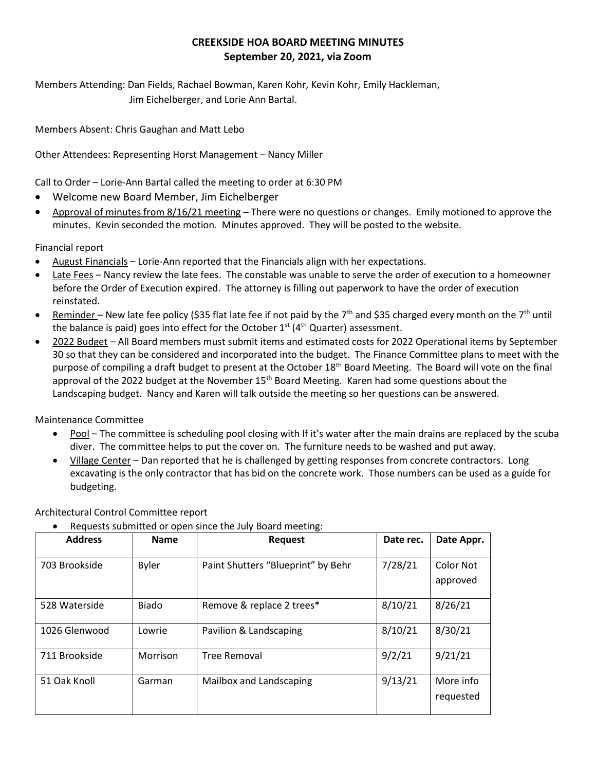## **CREEKSIDE HOA BOARD MEETING MINUTES September 20, 2021, via Zoom**

Members Attending: Dan Fields, Rachael Bowman, Karen Kohr, Kevin Kohr, Emily Hackleman, Jim Eichelberger, and Lorie Ann Bartal.

Members Absent: Chris Gaughan and Matt Lebo

Other Attendees: Representing Horst Management – Nancy Miller

Call to Order – Lorie-Ann Bartal called the meeting to order at 6:30 PM

- Welcome new Board Member, Jim Eichelberger
- Approval of minutes from 8/16/21 meeting There were no questions or changes. Emily motioned to approve the minutes. Kevin seconded the motion. Minutes approved. They will be posted to the website.

Financial report

- August Financials Lorie-Ann reported that the Financials align with her expectations.
- Late Fees Nancy review the late fees. The constable was unable to serve the order of execution to a homeowner before the Order of Execution expired. The attorney is filling out paperwork to have the order of execution reinstated.
- Reminder New late fee policy (\$35 flat late fee if not paid by the  $7<sup>th</sup>$  and \$35 charged every month on the  $7<sup>th</sup>$  until the balance is paid) goes into effect for the October  $1<sup>st</sup>$  (4<sup>th</sup> Quarter) assessment.
- 2022 Budget All Board members must submit items and estimated costs for 2022 Operational items by September 30 so that they can be considered and incorporated into the budget. The Finance Committee plans to meet with the purpose of compiling a draft budget to present at the October 18<sup>th</sup> Board Meeting. The Board will vote on the final approval of the 2022 budget at the November 15<sup>th</sup> Board Meeting. Karen had some questions about the Landscaping budget. Nancy and Karen will talk outside the meeting so her questions can be answered.

Maintenance Committee

- Pool The committee is scheduling pool closing with If it's water after the main drains are replaced by the scuba diver. The committee helps to put the cover on. The furniture needs to be washed and put away.
- Village Center Dan reported that he is challenged by getting responses from concrete contractors. Long excavating is the only contractor that has bid on the concrete work. Those numbers can be used as a guide for budgeting.

Architectural Control Committee report

• Requests submitted or open since the July Board meeting:

| <b>Address</b> | <b>Name</b>  | <b>Request</b>                     | Date rec. | Date Appr.             |
|----------------|--------------|------------------------------------|-----------|------------------------|
| 703 Brookside  | <b>Byler</b> | Paint Shutters "Blueprint" by Behr | 7/28/21   | Color Not<br>approved  |
| 528 Waterside  | <b>Biado</b> | Remove & replace 2 trees*          | 8/10/21   | 8/26/21                |
| 1026 Glenwood  | Lowrie       | Pavilion & Landscaping             | 8/10/21   | 8/30/21                |
| 711 Brookside  | Morrison     | <b>Tree Removal</b>                | 9/2/21    | 9/21/21                |
| 51 Oak Knoll   | Garman       | Mailbox and Landscaping            | 9/13/21   | More info<br>requested |